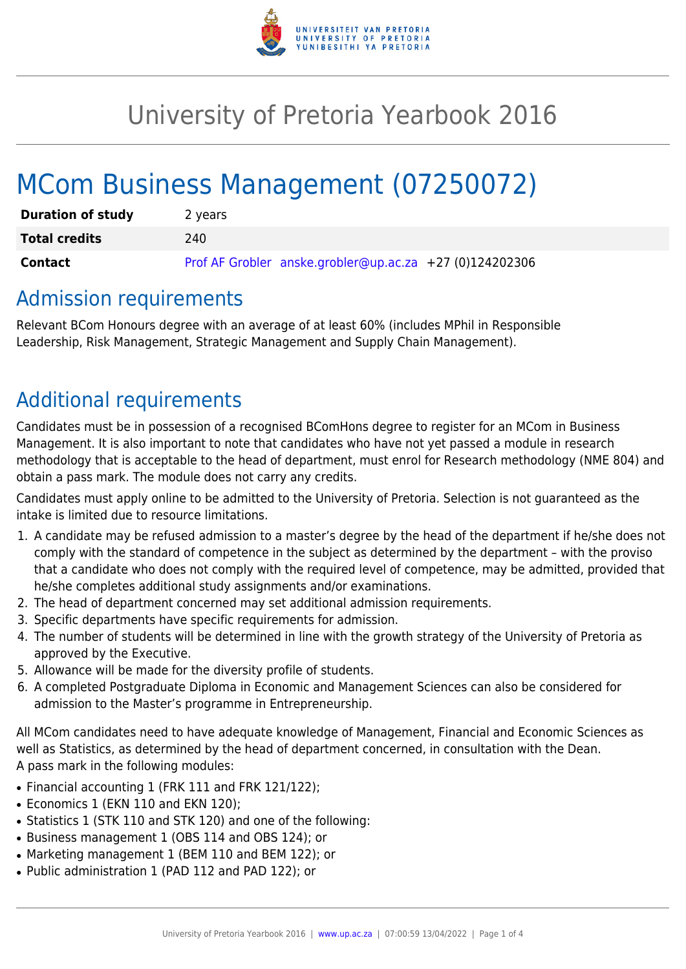

# University of Pretoria Yearbook 2016

# MCom Business Management (07250072)

| <b>Duration of study</b> | 2 years                                                 |
|--------------------------|---------------------------------------------------------|
| <b>Total credits</b>     | 240                                                     |
| <b>Contact</b>           | Prof AF Grobler anske.grobler@up.ac.za +27 (0)124202306 |

## Admission requirements

Relevant BCom Honours degree with an average of at least 60% (includes MPhil in Responsible Leadership, Risk Management, Strategic Management and Supply Chain Management).

# Additional requirements

Candidates must be in possession of a recognised BComHons degree to register for an MCom in Business Management. It is also important to note that candidates who have not yet passed a module in research methodology that is acceptable to the head of department, must enrol for Research methodology (NME 804) and obtain a pass mark. The module does not carry any credits.

Candidates must apply online to be admitted to the University of Pretoria. Selection is not guaranteed as the intake is limited due to resource limitations.

- 1. A candidate may be refused admission to a master's degree by the head of the department if he/she does not comply with the standard of competence in the subject as determined by the department – with the proviso that a candidate who does not comply with the required level of competence, may be admitted, provided that he/she completes additional study assignments and/or examinations.
- 2. The head of department concerned may set additional admission requirements.
- 3. Specific departments have specific requirements for admission.
- 4. The number of students will be determined in line with the growth strategy of the University of Pretoria as approved by the Executive.
- 5. Allowance will be made for the diversity profile of students.
- 6. A completed Postgraduate Diploma in Economic and Management Sciences can also be considered for admission to the Master's programme in Entrepreneurship.

All MCom candidates need to have adequate knowledge of Management, Financial and Economic Sciences as well as Statistics, as determined by the head of department concerned, in consultation with the Dean. A pass mark in the following modules:

- Financial accounting 1 (FRK 111 and FRK 121/122);
- Economics 1 (EKN 110 and EKN 120);
- Statistics 1 (STK 110 and STK 120) and one of the following:
- Business management 1 (OBS 114 and OBS 124); or
- Marketing management 1 (BEM 110 and BEM 122); or
- Public administration 1 (PAD 112 and PAD 122); or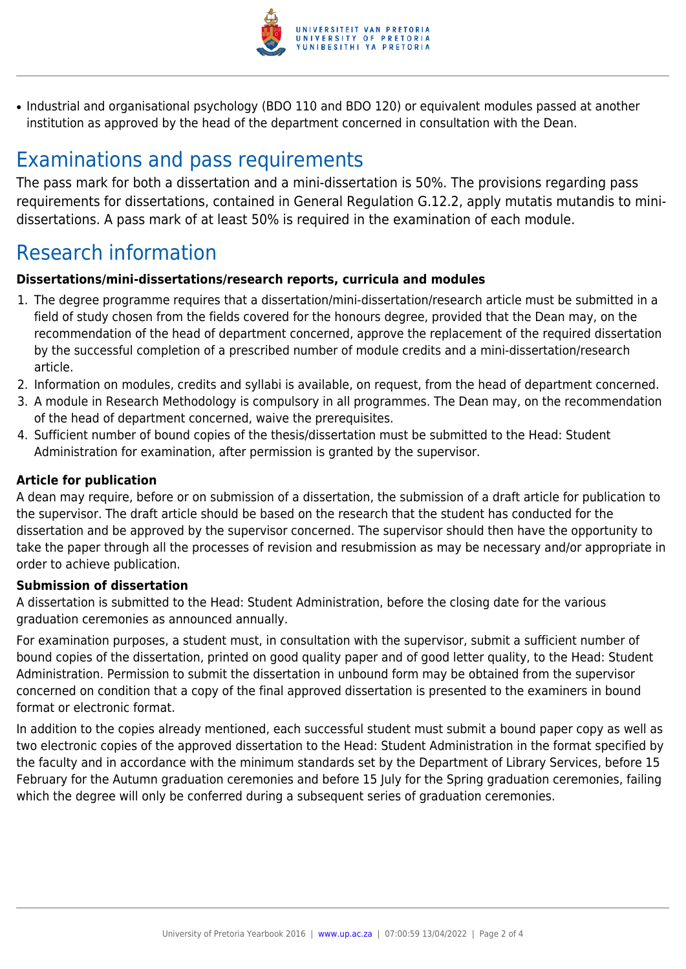

• Industrial and organisational psychology (BDO 110 and BDO 120) or equivalent modules passed at another institution as approved by the head of the department concerned in consultation with the Dean.

# Examinations and pass requirements

The pass mark for both a dissertation and a mini-dissertation is 50%. The provisions regarding pass requirements for dissertations, contained in General Regulation G.12.2, apply mutatis mutandis to minidissertations. A pass mark of at least 50% is required in the examination of each module.

# Research information

#### **Dissertations/mini-dissertations/research reports, curricula and modules**

- 1. The degree programme requires that a dissertation/mini-dissertation/research article must be submitted in a field of study chosen from the fields covered for the honours degree, provided that the Dean may, on the recommendation of the head of department concerned, approve the replacement of the required dissertation by the successful completion of a prescribed number of module credits and a mini-dissertation/research article.
- 2. Information on modules, credits and syllabi is available, on request, from the head of department concerned.
- 3. A module in Research Methodology is compulsory in all programmes. The Dean may, on the recommendation of the head of department concerned, waive the prerequisites.
- 4. Sufficient number of bound copies of the thesis/dissertation must be submitted to the Head: Student Administration for examination, after permission is granted by the supervisor.

#### **Article for publication**

A dean may require, before or on submission of a dissertation, the submission of a draft article for publication to the supervisor. The draft article should be based on the research that the student has conducted for the dissertation and be approved by the supervisor concerned. The supervisor should then have the opportunity to take the paper through all the processes of revision and resubmission as may be necessary and/or appropriate in order to achieve publication.

#### **Submission of dissertation**

A dissertation is submitted to the Head: Student Administration, before the closing date for the various graduation ceremonies as announced annually.

For examination purposes, a student must, in consultation with the supervisor, submit a sufficient number of bound copies of the dissertation, printed on good quality paper and of good letter quality, to the Head: Student Administration. Permission to submit the dissertation in unbound form may be obtained from the supervisor concerned on condition that a copy of the final approved dissertation is presented to the examiners in bound format or electronic format.

In addition to the copies already mentioned, each successful student must submit a bound paper copy as well as two electronic copies of the approved dissertation to the Head: Student Administration in the format specified by the faculty and in accordance with the minimum standards set by the Department of Library Services, before 15 February for the Autumn graduation ceremonies and before 15 July for the Spring graduation ceremonies, failing which the degree will only be conferred during a subsequent series of graduation ceremonies.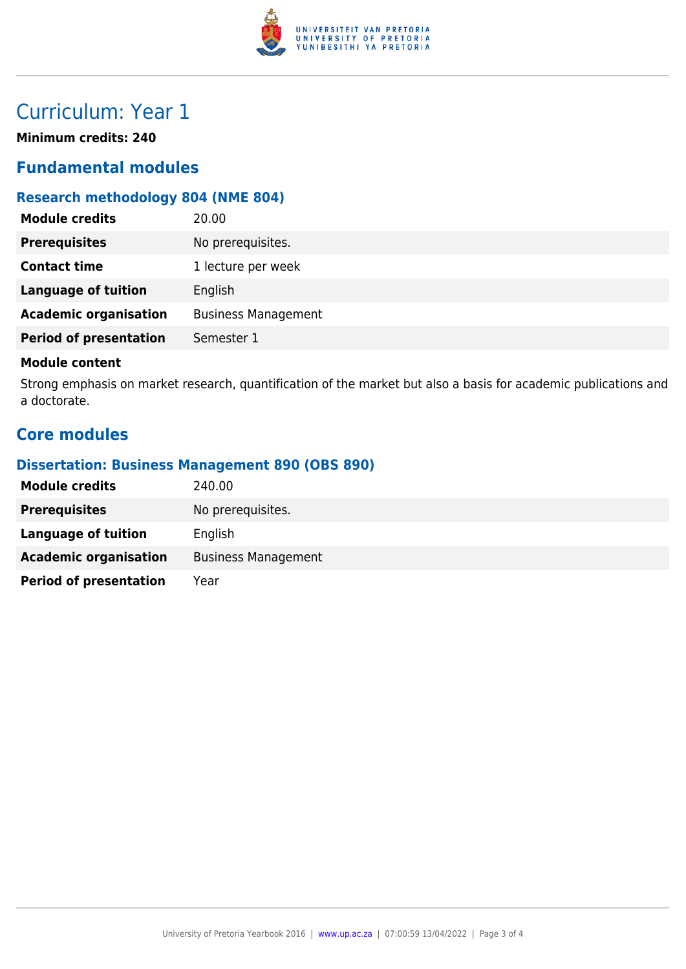

# Curriculum: Year 1

**Minimum credits: 240**

### **Fundamental modules**

### **Research methodology 804 (NME 804)**

| No prerequisites.<br><b>Prerequisites</b><br><b>Contact time</b><br>1 lecture per week<br><b>Language of tuition</b><br>English<br><b>Academic organisation</b><br><b>Business Management</b><br><b>Period of presentation</b><br>Semester 1 | <b>Module credits</b> | 20.00 |
|----------------------------------------------------------------------------------------------------------------------------------------------------------------------------------------------------------------------------------------------|-----------------------|-------|
|                                                                                                                                                                                                                                              |                       |       |
|                                                                                                                                                                                                                                              |                       |       |
|                                                                                                                                                                                                                                              |                       |       |
|                                                                                                                                                                                                                                              |                       |       |
|                                                                                                                                                                                                                                              |                       |       |

#### **Module content**

Strong emphasis on market research, quantification of the market but also a basis for academic publications and a doctorate.

### **Core modules**

#### **Dissertation: Business Management 890 (OBS 890)**

| <b>Module credits</b>         | 240.00                     |
|-------------------------------|----------------------------|
| <b>Prerequisites</b>          | No prerequisites.          |
| Language of tuition           | English                    |
| <b>Academic organisation</b>  | <b>Business Management</b> |
| <b>Period of presentation</b> | Year                       |